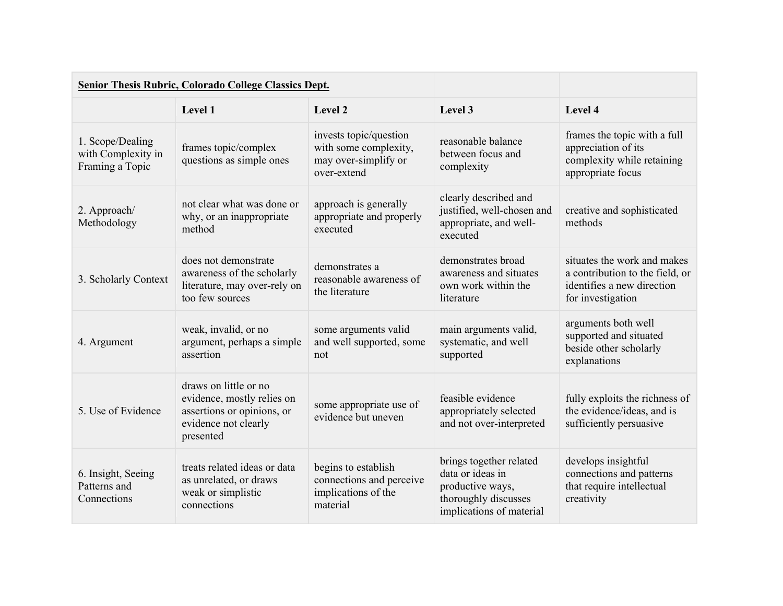|                                                           | Senior Thesis Rubric, Colorado College Classics Dept.                                                                  |                                                                                        |                                                                                                                     |                                                                                                                   |
|-----------------------------------------------------------|------------------------------------------------------------------------------------------------------------------------|----------------------------------------------------------------------------------------|---------------------------------------------------------------------------------------------------------------------|-------------------------------------------------------------------------------------------------------------------|
|                                                           | Level 1                                                                                                                | Level 2                                                                                | Level 3                                                                                                             | Level 4                                                                                                           |
| 1. Scope/Dealing<br>with Complexity in<br>Framing a Topic | frames topic/complex<br>questions as simple ones                                                                       | invests topic/question<br>with some complexity,<br>may over-simplify or<br>over-extend | reasonable balance<br>between focus and<br>complexity                                                               | frames the topic with a full<br>appreciation of its<br>complexity while retaining<br>appropriate focus            |
| 2. Approach/<br>Methodology                               | not clear what was done or<br>why, or an inappropriate<br>method                                                       | approach is generally<br>appropriate and properly<br>executed                          | clearly described and<br>justified, well-chosen and<br>appropriate, and well-<br>executed                           | creative and sophisticated<br>methods                                                                             |
| 3. Scholarly Context                                      | does not demonstrate<br>awareness of the scholarly<br>literature, may over-rely on<br>too few sources                  | demonstrates a<br>reasonable awareness of<br>the literature                            | demonstrates broad<br>awareness and situates<br>own work within the<br>literature                                   | situates the work and makes<br>a contribution to the field, or<br>identifies a new direction<br>for investigation |
| 4. Argument                                               | weak, invalid, or no<br>argument, perhaps a simple<br>assertion                                                        | some arguments valid<br>and well supported, some<br>not                                | main arguments valid,<br>systematic, and well<br>supported                                                          | arguments both well<br>supported and situated<br>beside other scholarly<br>explanations                           |
| 5. Use of Evidence                                        | draws on little or no<br>evidence, mostly relies on<br>assertions or opinions, or<br>evidence not clearly<br>presented | some appropriate use of<br>evidence but uneven                                         | feasible evidence<br>appropriately selected<br>and not over-interpreted                                             | fully exploits the richness of<br>the evidence/ideas, and is<br>sufficiently persuasive                           |
| 6. Insight, Seeing<br>Patterns and<br>Connections         | treats related ideas or data<br>as unrelated, or draws<br>weak or simplistic<br>connections                            | begins to establish<br>connections and perceive<br>implications of the<br>material     | brings together related<br>data or ideas in<br>productive ways,<br>thoroughly discusses<br>implications of material | develops insightful<br>connections and patterns<br>that require intellectual<br>creativity                        |